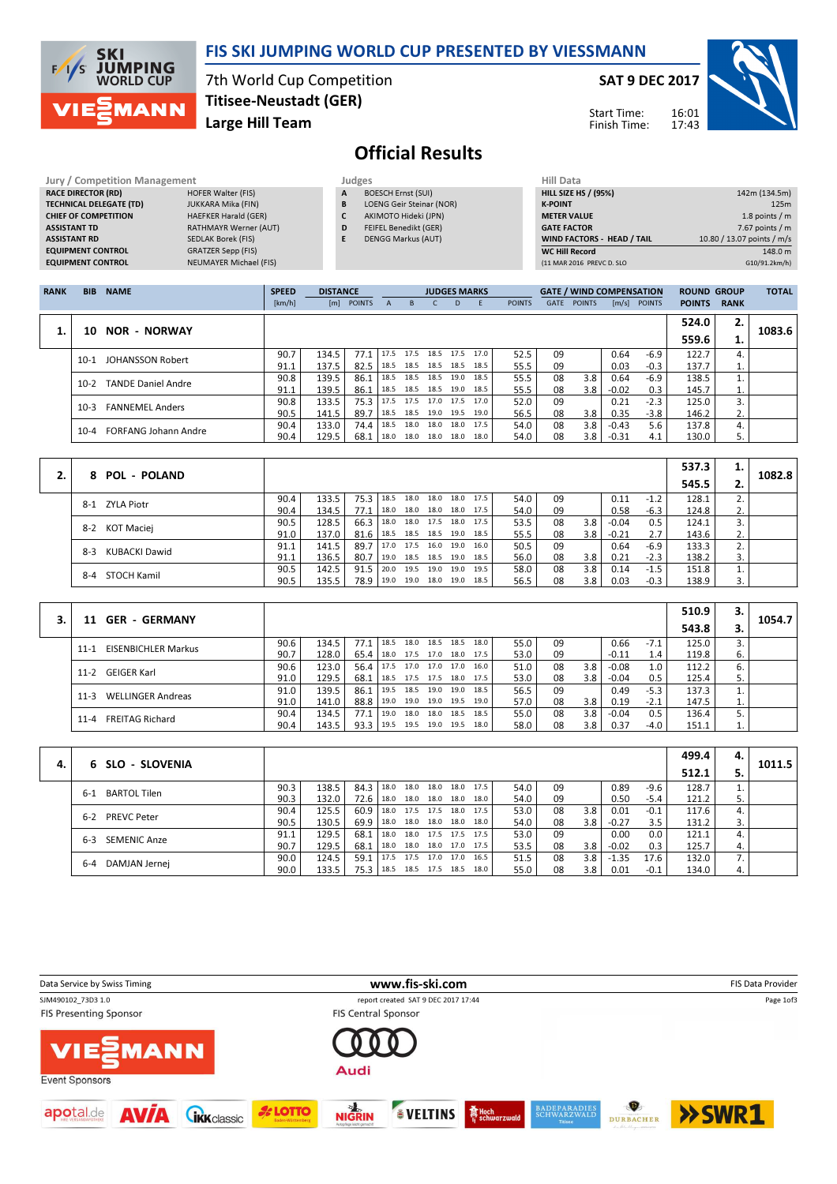

### FIS SKI JUMPING WORLD CUP PRESENTED BY VIESSMANN

7th World Cup Competition Large Hill Team Titisee-Neustadt (GER)

#### SAT 9 DEC 2017

Start Time: Finish Time:



# Official Results

| <b>Jury / Competition Management</b> |                               | Judges |                                 | <b>Hill Data</b>   |
|--------------------------------------|-------------------------------|--------|---------------------------------|--------------------|
| <b>RACE DIRECTOR (RD)</b>            | <b>HOFER Walter (FIS)</b>     | A      | <b>BOESCH Ernst (SUI)</b>       | <b>HILL SIZE H</b> |
| <b>TECHNICAL DELEGATE (TD)</b>       | <b>JUKKARA Mika (FIN)</b>     | B      | <b>LOENG Geir Steinar (NOR)</b> | <b>K-POINT</b>     |
| <b>CHIEF OF COMPETITION</b>          | <b>HAEFKER Harald (GER)</b>   | C      | AKIMOTO Hideki (JPN)            | <b>METER VAI</b>   |
| <b>ASSISTANT TD</b>                  | <b>RATHMAYR Werner (AUT)</b>  | D      | <b>FEIFEL Benedikt (GER)</b>    | <b>GATE FACT</b>   |
| <b>ASSISTANT RD</b>                  | SEDLAK Borek (FIS)            | E      | <b>DENGG Markus (AUT)</b>       | <b>WIND FACT</b>   |
| <b>EQUIPMENT CONTROL</b>             | <b>GRATZER Sepp (FIS)</b>     |        |                                 | WC Hill Re         |
| <b>EQUIPMENT CONTROL</b>             | <b>NEUMAYER Michael (FIS)</b> |        |                                 | (11 MAR 201)       |

| HIII Data                   |                            |
|-----------------------------|----------------------------|
| <b>HILL SIZE HS / (95%)</b> | 142m (134.5m)              |
| <b>K-POINT</b>              | 125m                       |
| <b>METER VALUE</b>          | 1.8 points $/m$            |
| <b>GATE FACTOR</b>          | 7.67 points $/m$           |
| WIND FACTORS - HEAD / TAIL  | 10.80 / 13.07 points / m/s |
| <b>WC Hill Record</b>       | 148.0 m                    |
| (11 MAR 2016 PREVC D. SLO   | G10/91.2km/h)              |
|                             |                            |

| <b>RANK</b> | <b>BIB</b> | <b>NAME</b>                 | <b>SPEED</b> | <b>DISTANCE</b> |               |              |      | <b>JUDGES MARKS</b>      |    |                |               |      | <b>GATE / WIND COMPENSATION</b> |         |              | <b>ROUND GROUP</b> |             | <b>TOTAL</b> |
|-------------|------------|-----------------------------|--------------|-----------------|---------------|--------------|------|--------------------------|----|----------------|---------------|------|---------------------------------|---------|--------------|--------------------|-------------|--------------|
|             |            |                             | [km/h]       | [m]             | <b>POINTS</b> | $\mathsf{A}$ | B.   | C.                       | D. | -F             | <b>POINTS</b> | GATE | <b>POINTS</b>                   |         | [m/s] POINTS | <b>POINTS</b>      | <b>RANK</b> |              |
|             |            |                             |              |                 |               |              |      |                          |    |                |               |      |                                 |         |              | 524.0              | 2.          |              |
|             | 10         | <b>NOR - NORWAY</b>         |              |                 |               |              |      |                          |    |                |               |      |                                 |         |              | 559.6              | ı.          | 1083.6       |
|             | $10-1$     | JOHANSSON Robert            | 90.7         | 134.5           | 77.1          | 17.5         | 17.5 |                          |    | 18.5 17.5 17.0 | 52.5          | 09   |                                 | 0.64    | $-6.9$       | 122.7              |             |              |
|             |            |                             | 91.1         | 137.5           | 82.5          | 18.5         |      | 18.5 18.5 18.5           |    | 18.5           | 55.5          | 09   |                                 | 0.03    | $-0.3$       | 137.7              | ī.          |              |
|             | $10-2$     | <b>TANDE Daniel Andre</b>   | 90.8         | 139.5           | 86.1          | 18.5         |      | 18.5 18.5 19.0           |    | 18.5           | 55.5          | 08   | 3.8                             | 0.64    | -6.9         | 138.5              |             |              |
|             |            |                             | 91.1         | 139.5           | 86.1          | 18.5         |      | 18.5 18.5 19.0           |    | 18.5           | 55.5          | 08   | 3.8                             | $-0.02$ | 0.3          | 145.7              | ⊥.          |              |
|             | $10-3$     | <b>FANNEMEL Anders</b>      | 90.8         | 133.5           | 75.3          | 17.5         | 17.5 | 17.0 17.5                |    | 17.0           | 52.0          | 09   |                                 | 0.21    | $-2.3$       | 125.0              | 3.          |              |
|             |            |                             | 90.5         | 141.5           | 89.7          | 18.5         |      | 18.5 19.0 19.5           |    | 19.0           | 56.5          | 08   | 3.8                             | 0.35    | $-3.8$       | 146.2              | 2.          |              |
|             | $10 - 4$   | <b>FORFANG Johann Andre</b> | 90.4         | 133.0           | 74.4          | 18.5         | 18.0 | 18.0 18.0 17.5           |    |                | 54.0          | 08   | 3.8                             | $-0.43$ | 5.6          | 137.8              | 4.          |              |
|             |            |                             | 90.4         | 129.5           | 68.1          |              |      | 18.0 18.0 18.0 18.0 18.0 |    |                | 54.0          | 08   | 3.8                             | $-0.31$ | 4.1          | 130.0              | 5.          |              |

|                           |      |       |               |                          |      |                     |      |    |     |         |        | 537.3 |    |        |
|---------------------------|------|-------|---------------|--------------------------|------|---------------------|------|----|-----|---------|--------|-------|----|--------|
| <b>POL - POLAND</b><br>8. |      |       |               |                          |      |                     |      |    |     |         |        | 545.5 |    | 1082.8 |
| 8-1 ZYLA Piotr            | 90.4 | 133.5 | 75.3 18.5     |                          | 18.0 | 18.0 18.0 17.5      | 54.0 | 09 |     | 0.11    | $-1.2$ | 128.1 |    |        |
|                           | 90.4 | 134.5 | 77.1          | 18.0                     |      | 18.0 18.0 18.0 17.5 | 54.0 | 09 |     | 0.58    | $-6.3$ | 124.8 | ۷. |        |
| KOT Maciej<br>$8 - 2$     | 90.5 | 128.5 | $66.3$   18.0 |                          |      | 18.0 17.5 18.0 17.5 | 53.5 | 08 | 3.8 | $-0.04$ | 0.5    | 124.1 |    |        |
|                           | 91.0 | 137.0 | 81.6          | 18.5 18.5 18.5 19.0 18.5 |      |                     | 55.5 | 08 | 3.8 | $-0.21$ | 2.7    | 143.6 | Ζ. |        |
| KUBACKI Dawid<br>8-3      | 91.1 | 141.5 | 89.7          | 17.0 17.5                |      | 16.0 19.0 16.0      | 50.5 | 09 |     | 0.64    | $-6.9$ | 133.3 |    |        |
|                           | 91.1 | 136.5 | 80.7          | 19.0                     |      | 18.5 18.5 19.0 18.5 | 56.0 | 08 | 3.8 | 0.21    | $-2.3$ | 138.2 |    |        |
|                           | 90.5 | 142.5 | 91.5          | 20.0                     | 19.5 | 19.0 19.0 19.5      | 58.0 | 08 | 3.8 | 0.14    | $-1.5$ | 151.8 |    |        |
| STOCH Kamil<br>8-4        | 90.5 | 135.5 | 78.9 19.0     |                          |      | 19.0 18.0 19.0 18.5 | 56.5 | 08 | 3.8 | 0.03    | $-0.3$ | 138.9 |    |        |

| <b>GER - GERMANY</b>                   |      |       |      |       |      |                |      |      |    |     |         |        | 510.9 | 3. | 1054.7 |
|----------------------------------------|------|-------|------|-------|------|----------------|------|------|----|-----|---------|--------|-------|----|--------|
| 11                                     |      |       |      |       |      |                |      |      |    |     |         |        | 543.8 |    |        |
| <b>EISENBICHLER Markus</b><br>$11 - 1$ | 90.6 | 134.5 | 77.1 | 18.5  | 18.0 | 18.5 18.5      | 18.0 | 55.0 | 09 |     | 0.66    | $-7.1$ | 125.0 |    |        |
|                                        | 90.7 | 128.0 | 65.4 | 18.0  |      | 17.5 17.0 18.0 | 17.5 | 53.0 | 09 |     | $-0.11$ | 1.4    | 119.8 | 6. |        |
| <b>GEIGER Karl</b><br>11-2             | 90.6 | 123.0 | 56.4 | 17.5  | 17.0 | 17.0 17.0      | 16.0 | 51.0 | 08 | 3.8 | $-0.08$ | 1.0    | 112.2 | 6. |        |
|                                        | 91.0 | 129.5 | 68.1 | 18.5  |      | 17.5 17.5 18.0 | 17.5 | 53.0 | 08 | 3.8 | $-0.04$ | 0.5    | 125.4 |    |        |
| <b>WELLINGER Andreas</b><br>11-3       | 91.0 | 139.5 | 86.1 | 119.5 |      | 18.5 19.0 19.0 | 18.5 | 56.5 | 09 |     | 0.49    | $-5.3$ | 137.3 |    |        |
|                                        | 91.0 | 141.0 | 88.8 | 19.0  |      | 19.0 19.0 19.5 | 19.0 | 57.0 | 08 | 3.8 | 0.19    | $-2.1$ | 147.5 | ı. |        |
| <b>FREITAG Richard</b><br>11-4         | 90.4 | 134.5 | 77.1 | 19.0  | 18.0 | 18.0 18.5      | 18.5 | 55.0 | 08 | 3.8 | $-0.04$ | 0.5    | 136.4 | 5. |        |
|                                        | 90.4 | 143.5 | 93.3 | 19.5  |      | 19.5 19.0 19.5 | 18.0 | 58.0 | 08 | 3.8 | 0.37    | $-4.0$ | 151.1 | ı. |        |

|    |                              |      |       |      |      |      |                     |      |      |    |     |         |        | 499.4 | 4. |        |
|----|------------------------------|------|-------|------|------|------|---------------------|------|------|----|-----|---------|--------|-------|----|--------|
| 4. | 6 SLO - SLOVENIA             |      |       |      |      |      |                     |      |      |    |     |         |        | 512.1 |    | 1011.5 |
|    | <b>BARTOL Tilen</b><br>$6-1$ | 90.3 | 138.5 | 84.3 | 18.0 | 18.0 | 18.0 18.0           | 17.5 | 54.0 | 09 |     | 0.89    | $-9.6$ | 128.7 |    |        |
|    |                              | 90.3 | 132.0 | 72.6 | 18.0 |      | 18.0 18.0 18.0      | 18.0 | 54.0 | 09 |     | 0.50    | $-5.4$ | 121.2 | 5. |        |
|    | <b>PREVC Peter</b><br>$6-2$  | 90.4 | 125.5 | 60.9 |      |      | 18.0 17.5 17.5 18.0 | 17.5 | 53.0 | 08 | 3.8 | 0.01    | $-0.1$ | 117.6 |    |        |
|    |                              | 90.5 | 130.5 | 69.9 | 18.0 |      | 18.0 18.0 18.0      | 18.0 | 54.0 | 08 | 3.8 | $-0.27$ | 3.5    | 131.2 |    |        |
|    | <b>SEMENIC Anze</b><br>$6-3$ | 91.1 | 129.5 | 68.1 | 18.0 |      | 18.0 17.5 17.5      | 17.5 | 53.0 | 09 |     | 0.00    | 0.0    | 121.1 |    |        |
|    |                              | 90.7 | 129.5 | 68.1 | 18.0 |      | 18.0 18.0 17.0 17.5 |      | 53.5 | 08 | 3.8 | $-0.02$ | 0.3    | 125.7 | 4. |        |
|    | $6 - 4$                      | 90.0 | 124.5 | 59.1 | 17.5 |      | 17.5 17.0 17.0      | 16.5 | 51.5 | 08 | 3.8 | $-1.35$ | 17.6   | 132.0 |    |        |
|    | DAMJAN Jernej                | 90.0 | 133.5 | 75.3 | 18.5 |      | 18.5 17.5 18.5      | 18.0 | 55.0 | 08 | 3.8 | 0.01    | $-0.1$ | 134.0 | 4. |        |

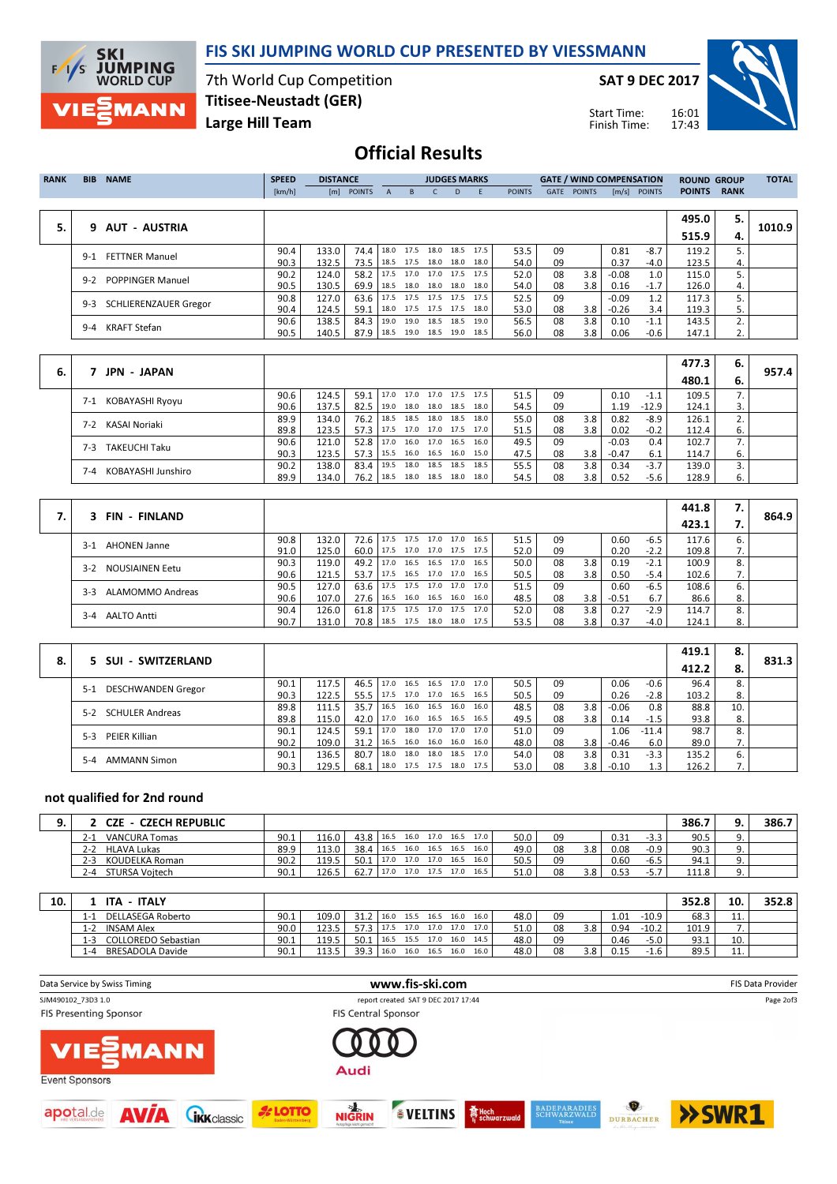

### FIS SKI JUMPING WORLD CUP PRESENTED BY VIESSMANN

7th World Cup Competition Large Hill Team Titisee-Neustadt (GER)

SAT 9 DEC 2017

Start Time: Finish Time:



## Official Results

| <b>RANK</b> | <b>BIB</b> | <b>NAME</b>                  | <b>SPEED</b><br>[km/h] | <b>DISTANCE</b><br>[m] | <b>POINTS</b> | $\mathsf{A}$ | B.             | <b>JUDGES MARKS</b><br>$\mathsf{C}$   | D.   | E                      | <b>POINTS</b> | GATE     | <b>POINTS</b> | <b>GATE / WIND COMPENSATION</b> | $[m/s]$ POINTS   | <b>ROUND GROUP</b><br><b>POINTS</b> | <b>RANK</b> | <b>TOTAL</b> |
|-------------|------------|------------------------------|------------------------|------------------------|---------------|--------------|----------------|---------------------------------------|------|------------------------|---------------|----------|---------------|---------------------------------|------------------|-------------------------------------|-------------|--------------|
| 5.          | 9.         | AUT - AUSTRIA                |                        |                        |               |              |                |                                       |      |                        |               |          |               |                                 |                  | 495.0<br>515.9                      | 5.<br>4.    | 1010.9       |
|             | $9-1$      | <b>FETTNER Manuel</b>        | 90.4<br>90.3           | 133.0<br>132.5         | 74.4<br>73.5  |              | 18.0 17.5      | 18.5 17.5 18.0 18.0                   |      | 18.0 18.5 17.5<br>18.0 | 53.5<br>54.0  | 09<br>09 |               | 0.81<br>0.37                    | $-8.7$<br>$-4.0$ | 119.2<br>123.5                      | 5.<br>4.    |              |
|             | $9-2$      | <b>POPPINGER Manuel</b>      | 90.2<br>90.5           | 124.0<br>130.5         | 58.2<br>69.9  | 18.5         |                | 17.5 17.0 17.0 17.5<br>18.0 18.0 18.0 |      | 17.5<br>18.0           | 52.0<br>54.0  | 08<br>08 | 3.8<br>3.8    | $-0.08$<br>0.16                 | 1.0<br>$-1.7$    | 115.0<br>126.0                      | 4.          |              |
|             | $9 - 3$    | <b>SCHLIERENZAUER Gregor</b> | 90.8<br>90.4           | 127.0<br>124.5         | 63.6<br>59.1  | 17.5         |                | 17.5 17.5 17.5<br>18.0 17.5 17.5 17.5 |      | 17.5<br>18.0           | 52.5<br>53.0  | 09<br>08 | 3.8           | $-0.09$<br>$-0.26$              | 1.2<br>3.4       | 117.3<br>119.3                      | 5.          |              |
|             | $9 - 4$    | <b>KRAFT Stefan</b>          | 90.6<br>90.5           | 138.5<br>140.5         | 84.3<br>87.9  | 19.0         | 18.5 19.0 18.5 | 19.0 18.5 18.5                        | 19.0 | 19.0<br>18.5           | 56.5<br>56.0  | 08<br>08 | 3.8<br>3.8    | 0.10<br>0.06                    | $-1.1$<br>-0.6   | 143.5<br>147.1                      | 2.<br>2.    |              |
|             |            |                              |                        |                        |               |              |                |                                       |      |                        |               |          |               |                                 |                  |                                     |             |              |
|             |            |                              |                        |                        |               |              |                |                                       |      |                        |               |          |               |                                 |                  | 477 2 I                             | c.          |              |

|    | <b>JPN - JAPAN</b>           |      |       |      |             |           |      |                |                |      |    |                  |         |         | 477.3 | 6. |       |
|----|------------------------------|------|-------|------|-------------|-----------|------|----------------|----------------|------|----|------------------|---------|---------|-------|----|-------|
| 6. |                              |      |       |      |             |           |      |                |                |      |    |                  |         |         | 480.1 | 6. | 957.4 |
|    | KOBAYASHI Ryoyu<br>7-1       | 90.6 | 124.5 | 59.1 | $17.0$ 17.0 |           |      | 17.0 17.5 17.5 |                | 51.5 | 09 |                  | 0.10    | $-1.1$  | 109.5 |    |       |
|    |                              | 90.6 | 137.5 | 82.5 | 19.0 18.0   |           | 18.0 | 18.5 18.0      |                | 54.5 | 09 |                  | 1.19    | $-12.9$ | 124.1 |    |       |
|    | KASAI Noriaki<br>7-2         | 89.9 | 134.0 | 76.2 | 18.5 18.5   |           | 18.0 | 18.5           | 18.0           | 55.0 | 08 | 3.8              | 0.82    | $-8.9$  | 126.1 |    |       |
|    |                              | 89.8 | 123.5 | 57.3 |             | 17.5 17.0 |      | 17.0 17.5 17.0 |                | 51.5 | 08 | 3.8              | 0.02    | $-0.2$  | 112.4 | ь. |       |
|    | <b>TAKEUCHI Taku</b><br>7-3. | 90.6 | 121.0 | 52.8 | 17.0 16.0   |           | 17.0 | 16.5           | 16.0           | 49.5 | 09 |                  | $-0.03$ | 0.4     | 102.7 |    |       |
|    |                              | 90.3 | 123.5 | 57.3 | 15.5 16.0   |           |      |                | 16.5 16.0 15.0 | 47.5 | 08 | 3.8 <sub>1</sub> | $-0.47$ | 6.1     | 114.7 | 6. |       |
|    | KOBAYASHI Junshiro<br>7-4    | 90.2 | 138.0 | 83.4 | 19.5        | 18.0      | 18.5 | 18.5           | 18.5           | 55.5 | 08 | 3.8              | 0.34    | $-3.7$  | 139.0 |    |       |
|    |                              | 89.9 | 134.0 | 76.2 | 18.5 18.0   |           |      | 18.5 18.0 18.0 |                | 54.5 | 08 | 3.8              | 0.52    | -5.6    | 128.9 | ь. |       |

| 3 FIN - FINLAND            |      |       |               |                                 |  |                |      |      |    |     |         |        | 441.8 | 7. |       |
|----------------------------|------|-------|---------------|---------------------------------|--|----------------|------|------|----|-----|---------|--------|-------|----|-------|
|                            |      |       |               |                                 |  |                |      |      |    |     |         |        | 423.1 |    | 864.9 |
| <b>AHONEN Janne</b><br>3-1 | 90.8 | 132.0 |               | 72.6 17.5 17.5 17.0 17.0        |  |                | 16.5 | 51.5 | 09 |     | 0.60    | $-6.5$ | 117.6 | 6. |       |
|                            | 91.0 | 125.0 | $60.0$   17.5 |                                 |  | 17.0 17.0 17.5 | 17.5 | 52.0 | 09 |     | 0.20    | $-2.2$ | 109.8 | 7. |       |
| NOUSIAINEN Eetu<br>$3-2$   | 90.3 | 119.0 | 49.2 17.0     |                                 |  | 16.5 16.5 17.0 | 16.5 | 50.0 | 08 | 3.8 | 0.19    | $-2.1$ | 100.9 | 8. |       |
|                            | 90.6 | 121.5 | $53.7$   17.5 |                                 |  | 16.5 17.0 17.0 | 16.5 | 50.5 | 08 | 3.8 | 0.50    | $-5.4$ | 102.6 | 7. |       |
| ALAMOMMO Andreas<br>$3-3$  | 90.5 | 127.0 | 63.6          | 17.5                            |  | 17.5 17.0 17.0 | 17.0 | 51.5 | 09 |     | 0.60    | $-6.5$ | 108.6 | 6. |       |
|                            | 90.6 | 107.0 | $27.6$   16.5 |                                 |  | 16.0 16.5 16.0 | 16.0 | 48.5 | 08 | 3.8 | $-0.51$ | 6.7    | 86.6  | 8. |       |
| <b>AALTO Antti</b>         | 90.4 | 126.0 | $61.8$   17.5 |                                 |  | 17.5 17.0 17.5 | 17.0 | 52.0 | 08 | 3.8 | 0.27    | $-2.9$ | 114.7 | 8. |       |
| $3-4$                      | 90.7 | 131.0 |               | 70.8   18.5 17.5 18.0 18.0 17.5 |  |                |      | 53.5 | 08 | 3.8 | 0.37    | $-4.0$ | 124.1 | 8. |       |

|    |                                 |      |       |      |      |                |      |                |      |      |    |     |         |         | 419.1 | 8.  |       |
|----|---------------------------------|------|-------|------|------|----------------|------|----------------|------|------|----|-----|---------|---------|-------|-----|-------|
| 8. | 5 SUI - SWITZERLAND             |      |       |      |      |                |      |                |      |      |    |     |         |         | 412.2 |     | 831.3 |
|    | DESCHWANDEN Gregor<br>$5-1$     | 90.1 | 117.5 | 46.5 | 17.0 | 16.5           |      | 16.5 17.0      | 17.0 | 50.5 | 09 |     | 0.06    | $-0.6$  | 96.4  | 8.  |       |
|    |                                 | 90.3 | 122.5 | 55.5 | 17.5 | 17.0 17.0 16.5 |      |                | 16.5 | 50.5 | 09 |     | 0.26    | $-2.8$  | 103.2 | 8.  |       |
|    | <b>SCHULER Andreas</b><br>$5-2$ | 89.8 | 111.5 | 35.7 | 16.5 | 16.0           | 16.5 | 16.0           | 16.0 | 48.5 | 08 | 3.8 | $-0.06$ | 0.8     | 88.8  | 10. |       |
|    |                                 | 89.8 | 115.0 | 42.0 | 17.0 |                |      | 16.0 16.5 16.5 | 16.5 | 49.5 | 08 | 3.8 | 0.14    | $-1.5$  | 93.8  | 8.  |       |
|    | PEIER Killian<br>$5-3$          | 90.1 | 124.5 | 59.1 | 17.0 |                |      | 18.0 17.0 17.0 | 17.0 | 51.0 | 09 |     | .06     | $-11.4$ | 98.7  | 8.  |       |
|    |                                 | 90.2 | 109.0 | 31.2 | 16.5 |                |      | 16.0 16.0 16.0 | 16.0 | 48.0 | 08 | 3.8 | $-0.46$ | 6.0     | 89.0  |     |       |
|    | <b>AMMANN Simon</b><br>$5-4$    | 90.1 | 136.5 | 80.7 | 18.0 | 18.0           |      | 18.0 18.5      | 17.0 | 54.0 | 08 | 3.8 | 0.31    | $-3.3$  | 135.2 | 6.  |       |
|    |                                 | 90.3 | 129.5 | 68.1 | 18.0 | 17.5 17.5      |      | 18.0           | 17.5 | 53.0 | 08 | 3.8 | $-0.10$ |         | 126.2 | 7.  |       |

#### not qualified for 2nd round

| <b>- CZECH REPUBLIC</b><br>CZE |      |       |           |      |                |      |      |      |      |    |     |      |        | 386.7 |          | 386.7 |
|--------------------------------|------|-------|-----------|------|----------------|------|------|------|------|----|-----|------|--------|-------|----------|-------|
| <b>VANCURA Tomas</b><br>z-.    | 90.1 | 116.0 | 43.8 16.5 |      | 16.0 17.0      |      | 16.5 | 17.0 | 50.0 | 09 |     | 0.31 | -3.3   | 90.5  | <u>.</u> |       |
| <b>HLAVA Lukas</b><br>2-2      | 89.9 | 113.0 | 38.4      | 16.5 | 16.0 16.5 16.5 |      |      | 16.0 | 49.0 | 08 | 3.8 | 0.08 | $-0.9$ | 90.3  | <u>.</u> |       |
| KOUDELKA Roman<br>2-3          | 90.2 | 119.5 | 50.1      | 17.0 | 17.0 17.0      |      | 16.5 | 16.0 | 50.5 | 09 |     | 0.60 | $-6.5$ | 94.1  | <u>.</u> |       |
| STURSA Voitech<br>4- ا         | 90.1 | 126.5 | 62.       | 17.0 | 17.0           | 17.5 | 17.0 | 16.5 | 51.0 | 08 | 3.8 | 0.53 | $-5.7$ | 111.8 | <u>.</u> |       |

| 10. | <b>ITALY</b><br><b>ITA</b>       |      |       |      |      |      |           |      |      |      |    |     |      |         | 352.8 | 10.       | 352.8 |
|-----|----------------------------------|------|-------|------|------|------|-----------|------|------|------|----|-----|------|---------|-------|-----------|-------|
|     | DELLASEGA Roberto<br>: - ا       | 90.1 | 109.0 |      | 16.0 | 15.5 | 16.5      | 16.0 | 16.0 | 48.0 | 09 |     | 1.01 | $-10.9$ | 68.3  | <u>.</u>  |       |
|     | <b>INSAM Alex</b><br>ı – ,       | 90.0 | 123.5 |      | 17.5 | 17.0 | 17.0      | 17.0 | 17.0 | 51.0 | 08 | 3.8 | 0.94 | $-10.2$ | 101.9 |           |       |
|     | <b>COLLOREDO Sebastian</b><br>-3 | 90.1 | 119.5 | 50.1 | 16.5 |      | 15.5 17.0 | 16.0 | 14.5 | 48.0 | 09 |     | 0.46 | $-5.0$  | 93.1  | 10.       |       |
|     | <b>BRESADOLA Davide</b><br>-4    | 90.1 | 113.5 | 39.3 | 16.0 | 16.0 | 16.5      | 16.0 | 16.0 | 48.0 | 08 | 3.8 | 0.15 | $-1.6$  | 89.5  | <b>++</b> |       |